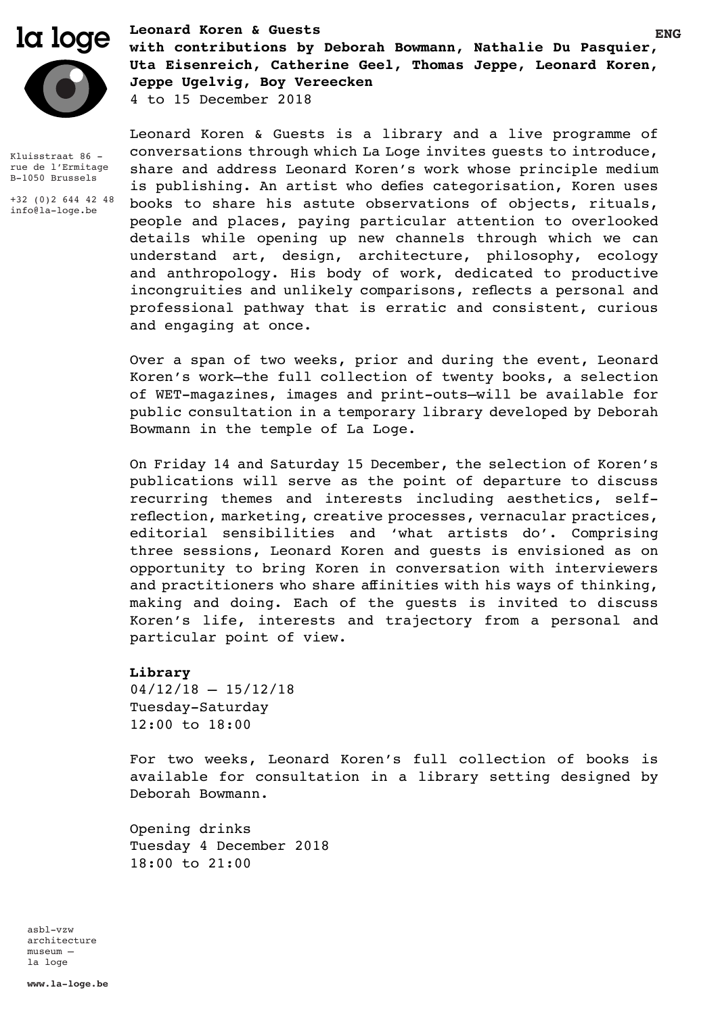

Kluisstraat 86 rue de l'Ermitage B-1050 Brussels

+32 (0)2 644 42 48 info@la-loge.be

**ENG** la loge **Leonard Koren & Guests with contributions by Deborah Bowmann, Nathalie Du Pasquier, Uta Eisenreich, Catherine Geel, Thomas Jeppe, Leonard Koren, Jeppe Ugelvig, Boy Vereecken** 4 to 15 December 2018

> Leonard Koren & Guests is a library and a live programme of conversations through which La Loge invites guests to introduce, share and address Leonard Koren's work whose principle medium is publishing. An artist who defies categorisation, Koren uses books to share his astute observations of objects, rituals, people and places, paying particular attention to overlooked details while opening up new channels through which we can understand art, design, architecture, philosophy, ecology and anthropology. His body of work, dedicated to productive incongruities and unlikely comparisons, reflects a personal and professional pathway that is erratic and consistent, curious and engaging at once.

> Over a span of two weeks, prior and during the event, Leonard Koren's work—the full collection of twenty books, a selection of WET-magazines, images and print-outs—will be available for public consultation in a temporary library developed by Deborah Bowmann in the temple of La Loge.

> On Friday 14 and Saturday 15 December, the selection of Koren's publications will serve as the point of departure to discuss recurring themes and interests including aesthetics, selfreflection, marketing, creative processes, vernacular practices, editorial sensibilities and 'what artists do'. Comprising three sessions, Leonard Koren and guests is envisioned as on opportunity to bring Koren in conversation with interviewers and practitioners who share affinities with his ways of thinking, making and doing. Each of the guests is invited to discuss Koren's life, interests and trajectory from a personal and particular point of view.

# **Library**

 $04/12/18 - 15/12/18$ Tuesday-Saturday 12:00 to 18:00

For two weeks, Leonard Koren's full collection of books is available for consultation in a library setting designed by Deborah Bowmann.

Opening drinks Tuesday 4 December 2018 18:00 to 21:00

asbl-vzw architecture museum – la loge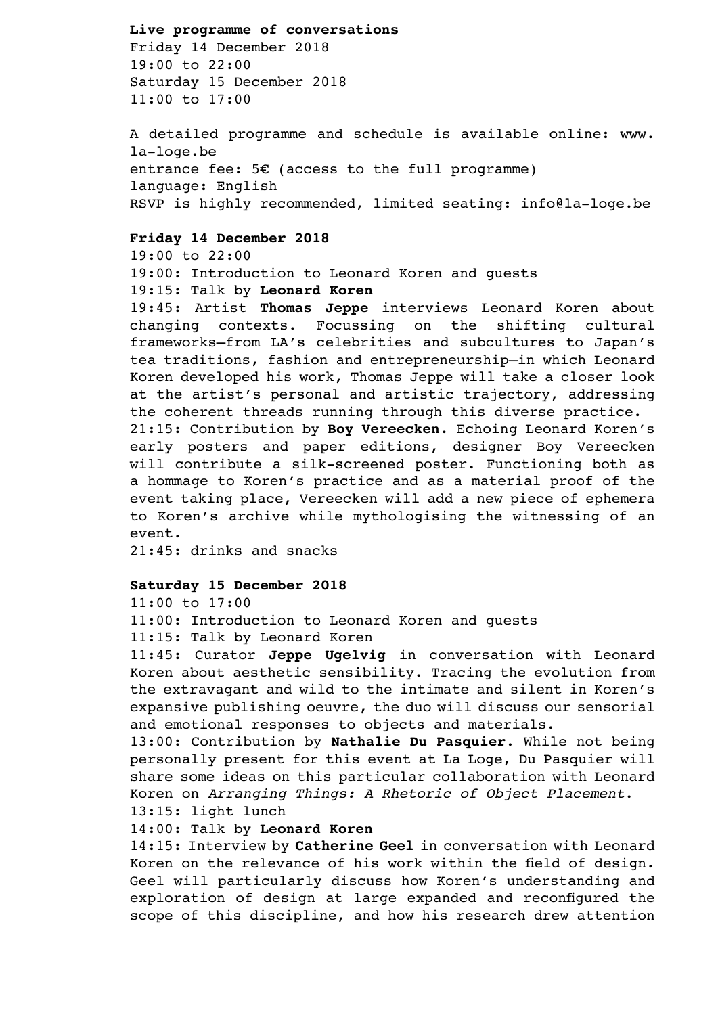#### **Live programme of conversations**

Friday 14 December 2018 19:00 to 22:00 Saturday 15 December 2018 11:00 to 17:00

A detailed programme and schedule is available online: www. la-loge.be entrance fee:  $5E$  (access to the full programme) language: English RSVP is highly recommended, limited seating: info@la-loge.be

## **Friday 14 December 2018**

19:00 to 22:00

19:00: Introduction to Leonard Koren and guests 19:15: Talk by **Leonard Koren**

19:45: Artist **Thomas Jeppe** interviews Leonard Koren about changing contexts. Focussing on the shifting cultural frameworks—from LA's celebrities and subcultures to Japan's tea traditions, fashion and entrepreneurship—in which Leonard Koren developed his work, Thomas Jeppe will take a closer look at the artist's personal and artistic trajectory, addressing the coherent threads running through this diverse practice.

21:15: Contribution by **Boy Vereecken**. Echoing Leonard Koren's early posters and paper editions, designer Boy Vereecken will contribute a silk-screened poster. Functioning both as a hommage to Koren's practice and as a material proof of the event taking place, Vereecken will add a new piece of ephemera to Koren's archive while mythologising the witnessing of an event.

21:45: drinks and snacks

### **Saturday 15 December 2018**

11:00 to 17:00

11:00: Introduction to Leonard Koren and guests

11:15: Talk by Leonard Koren

11:45: Curator **Jeppe Ugelvig** in conversation with Leonard Koren about aesthetic sensibility. Tracing the evolution from the extravagant and wild to the intimate and silent in Koren's expansive publishing oeuvre, the duo will discuss our sensorial and emotional responses to objects and materials.

13:00: Contribution by **Nathalie Du Pasquier**. While not being personally present for this event at La Loge, Du Pasquier will share some ideas on this particular collaboration with Leonard Koren on *Arranging Things: A Rhetoric of Object Placement*.

13:15: light lunch

## 14:00: Talk by **Leonard Koren**

14:15: Interview by **Catherine Geel** in conversation with Leonard Koren on the relevance of his work within the field of design. Geel will particularly discuss how Koren's understanding and exploration of design at large expanded and reconfigured the scope of this discipline, and how his research drew attention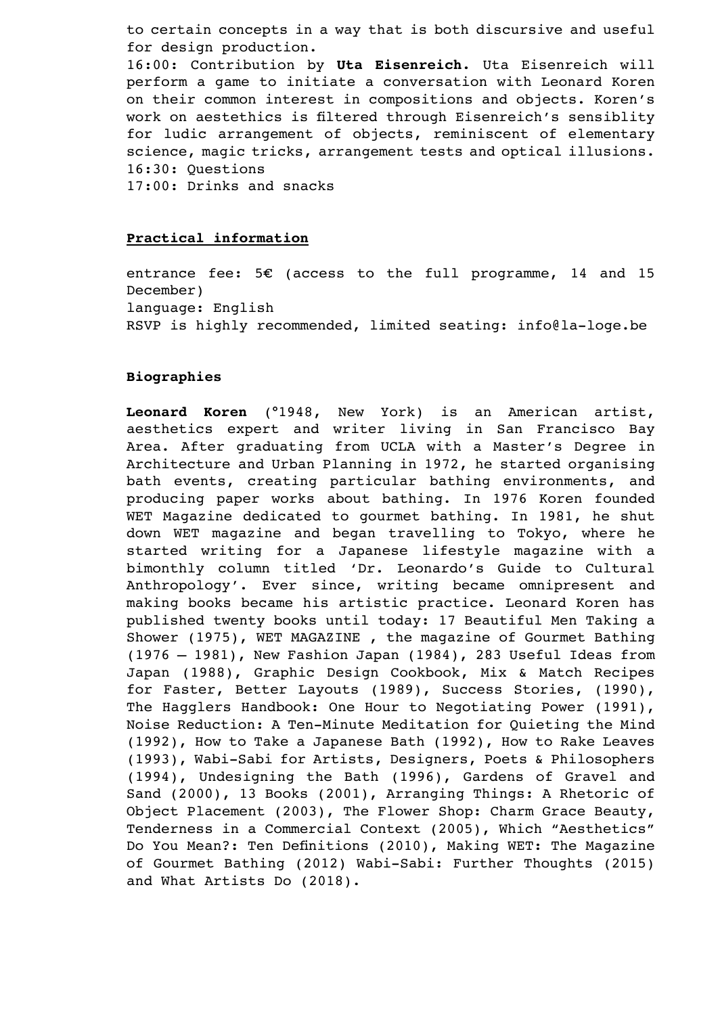to certain concepts in a way that is both discursive and useful for design production.

16:00: Contribution by **Uta Eisenreich.** Uta Eisenreich will perform a game to initiate a conversation with Leonard Koren on their common interest in compositions and objects. Koren's work on aestethics is filtered through Eisenreich's sensiblity for ludic arrangement of objects, reminiscent of elementary science, magic tricks, arrangement tests and optical illusions. 16:30: Questions

17:00: Drinks and snacks

## **Practical information**

entrance fee: 5€ (access to the full programme, 14 and 15 December) language: English RSVP is highly recommended, limited seating: info@la-loge.be

## **Biographies**

**Leonard Koren** (°1948, New York) is an American artist, aesthetics expert and writer living in San Francisco Bay Area. After graduating from UCLA with a Master's Degree in Architecture and Urban Planning in 1972, he started organising bath events, creating particular bathing environments, and producing paper works about bathing. In 1976 Koren founded WET Magazine dedicated to gourmet bathing. In 1981, he shut down WET magazine and began travelling to Tokyo, where he started writing for a Japanese lifestyle magazine with a bimonthly column titled 'Dr. Leonardo's Guide to Cultural Anthropology'. Ever since, writing became omnipresent and making books became his artistic practice. Leonard Koren has published twenty books until today: 17 Beautiful Men Taking a Shower (1975), WET MAGAZINE , the magazine of Gourmet Bathing (1976 – 1981), New Fashion Japan (1984), 283 Useful Ideas from Japan (1988), Graphic Design Cookbook, Mix & Match Recipes for Faster, Better Layouts (1989), Success Stories, (1990), The Hagglers Handbook: One Hour to Negotiating Power (1991), Noise Reduction: A Ten-Minute Meditation for Quieting the Mind (1992), How to Take a Japanese Bath (1992), How to Rake Leaves (1993), Wabi-Sabi for Artists, Designers, Poets & Philosophers (1994), Undesigning the Bath (1996), Gardens of Gravel and Sand (2000), 13 Books (2001), Arranging Things: A Rhetoric of Object Placement (2003), The Flower Shop: Charm Grace Beauty, Tenderness in a Commercial Context (2005), Which "Aesthetics" Do You Mean?: Ten Definitions (2010), Making WET: The Magazine of Gourmet Bathing (2012) Wabi-Sabi: Further Thoughts (2015) and What Artists Do (2018).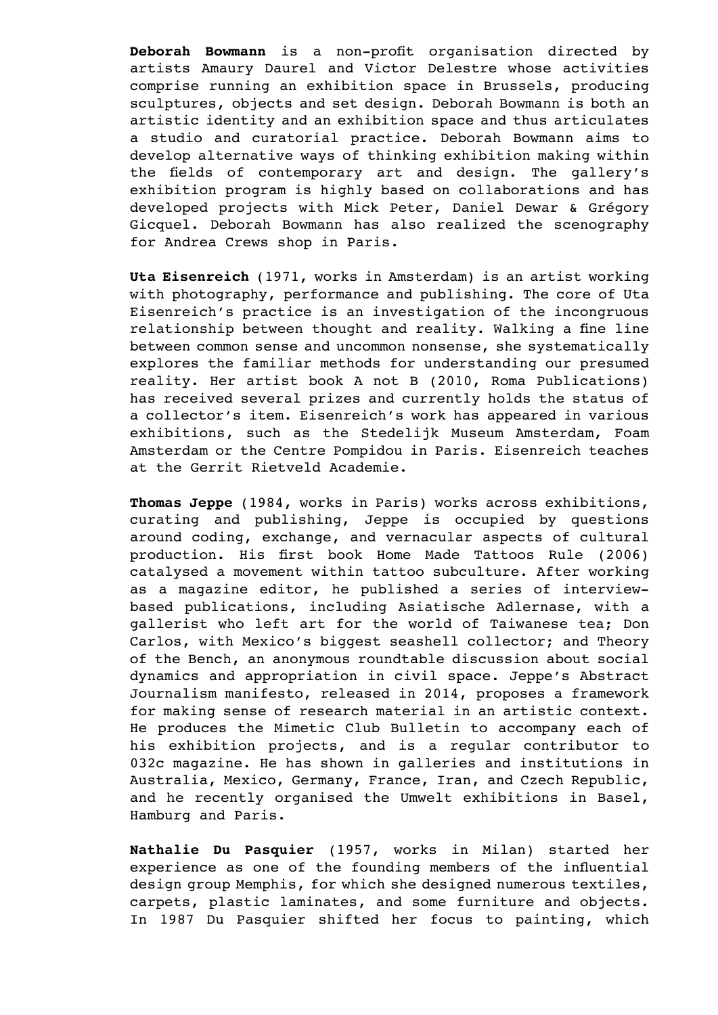**Deborah Bowmann** is a non-profit organisation directed by artists Amaury Daurel and Victor Delestre whose activities comprise running an exhibition space in Brussels, producing sculptures, objects and set design. Deborah Bowmann is both an artistic identity and an exhibition space and thus articulates a studio and curatorial practice. Deborah Bowmann aims to develop alternative ways of thinking exhibition making within the fields of contemporary art and design. The gallery's exhibition program is highly based on collaborations and has developed projects with Mick Peter, Daniel Dewar & Grégory Gicquel. Deborah Bowmann has also realized the scenography for Andrea Crews shop in Paris.

**Uta Eisenreich** (1971, works in Amsterdam) is an artist working with photography, performance and publishing. The core of Uta Eisenreich's practice is an investigation of the incongruous relationship between thought and reality. Walking a fine line between common sense and uncommon nonsense, she systematically explores the familiar methods for understanding our presumed reality. Her artist book A not B (2010, Roma Publications) has received several prizes and currently holds the status of a collector's item. Eisenreich's work has appeared in various exhibitions, such as the Stedelijk Museum Amsterdam, Foam Amsterdam or the Centre Pompidou in Paris. Eisenreich teaches at the Gerrit Rietveld Academie.

**Thomas Jeppe** (1984, works in Paris) works across exhibitions, curating and publishing, Jeppe is occupied by questions around coding, exchange, and vernacular aspects of cultural production. His first book Home Made Tattoos Rule (2006) catalysed a movement within tattoo subculture. After working as a magazine editor, he published a series of interviewbased publications, including Asiatische Adlernase, with a gallerist who left art for the world of Taiwanese tea; Don Carlos, with Mexico's biggest seashell collector; and Theory of the Bench, an anonymous roundtable discussion about social dynamics and appropriation in civil space. Jeppe's Abstract Journalism manifesto, released in 2014, proposes a framework for making sense of research material in an artistic context. He produces the Mimetic Club Bulletin to accompany each of his exhibition projects, and is a regular contributor to 032c magazine. He has shown in galleries and institutions in Australia, Mexico, Germany, France, Iran, and Czech Republic, and he recently organised the Umwelt exhibitions in Basel, Hamburg and Paris.

**Nathalie Du Pasquier** (1957, works in Milan) started her experience as one of the founding members of the influential design group Memphis, for which she designed numerous textiles, carpets, plastic laminates, and some furniture and objects. In 1987 Du Pasquier shifted her focus to painting, which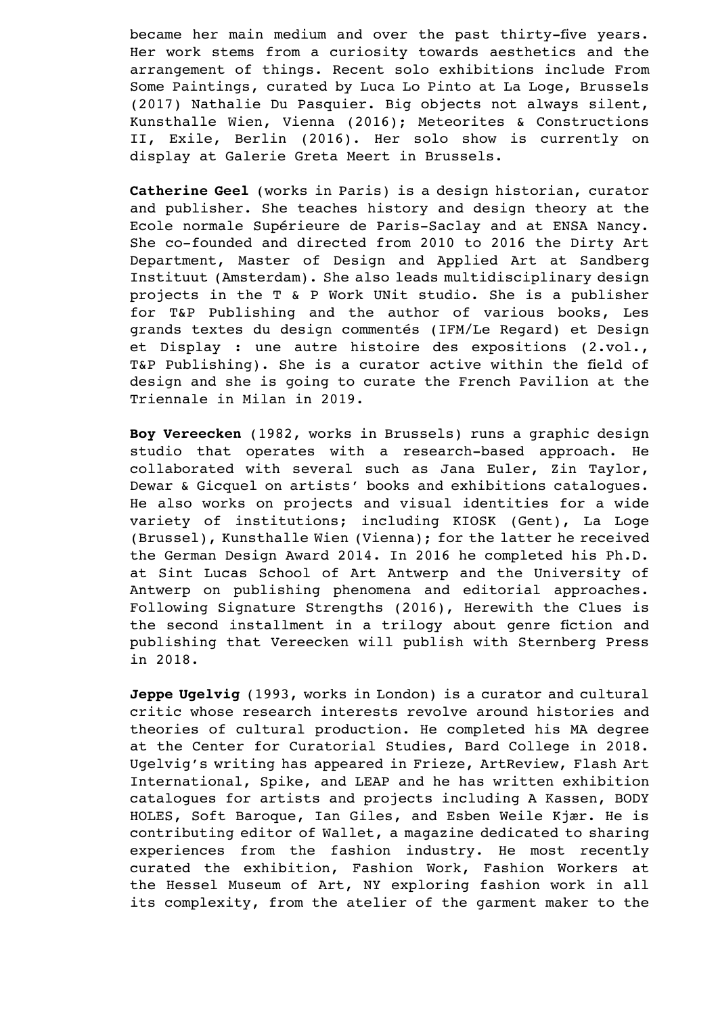became her main medium and over the past thirty-five years. Her work stems from a curiosity towards aesthetics and the arrangement of things. Recent solo exhibitions include From Some Paintings, curated by Luca Lo Pinto at La Loge, Brussels (2017) Nathalie Du Pasquier. Big objects not always silent, Kunsthalle Wien, Vienna (2016); Meteorites & Constructions II, Exile, Berlin (2016). Her solo show is currently on display at Galerie Greta Meert in Brussels.

**Catherine Geel** (works in Paris) is a design historian, curator and publisher. She teaches history and design theory at the Ecole normale Supérieure de Paris-Saclay and at ENSA Nancy. She co-founded and directed from 2010 to 2016 the Dirty Art Department, Master of Design and Applied Art at Sandberg Instituut (Amsterdam). She also leads multidisciplinary design projects in the T & P Work UNit studio. She is a publisher for T&P Publishing and the author of various books, Les grands textes du design commentés (IFM/Le Regard) et Design et Display : une autre histoire des expositions (2.vol., T&P Publishing). She is a curator active within the field of design and she is going to curate the French Pavilion at the Triennale in Milan in 2019.

**Boy Vereecken** (1982, works in Brussels) runs a graphic design studio that operates with a research-based approach. He collaborated with several such as Jana Euler, Zin Taylor, Dewar & Gicquel on artists' books and exhibitions catalogues. He also works on projects and visual identities for a wide variety of institutions; including KIOSK (Gent), La Loge (Brussel), Kunsthalle Wien (Vienna); for the latter he received the German Design Award 2014. In 2016 he completed his Ph.D. at Sint Lucas School of Art Antwerp and the University of Antwerp on publishing phenomena and editorial approaches. Following Signature Strengths (2016), Herewith the Clues is the second installment in a trilogy about genre fiction and publishing that Vereecken will publish with Sternberg Press in 2018.

**Jeppe Ugelvig** (1993, works in London) is a curator and cultural critic whose research interests revolve around histories and theories of cultural production. He completed his MA degree at the Center for Curatorial Studies, Bard College in 2018. Ugelvig's writing has appeared in Frieze, ArtReview, Flash Art International, Spike, and LEAP and he has written exhibition catalogues for artists and projects including A Kassen, BODY HOLES, Soft Baroque, Ian Giles, and Esben Weile Kjær. He is contributing editor of Wallet, a magazine dedicated to sharing experiences from the fashion industry. He most recently curated the exhibition, Fashion Work, Fashion Workers at the Hessel Museum of Art, NY exploring fashion work in all its complexity, from the atelier of the garment maker to the